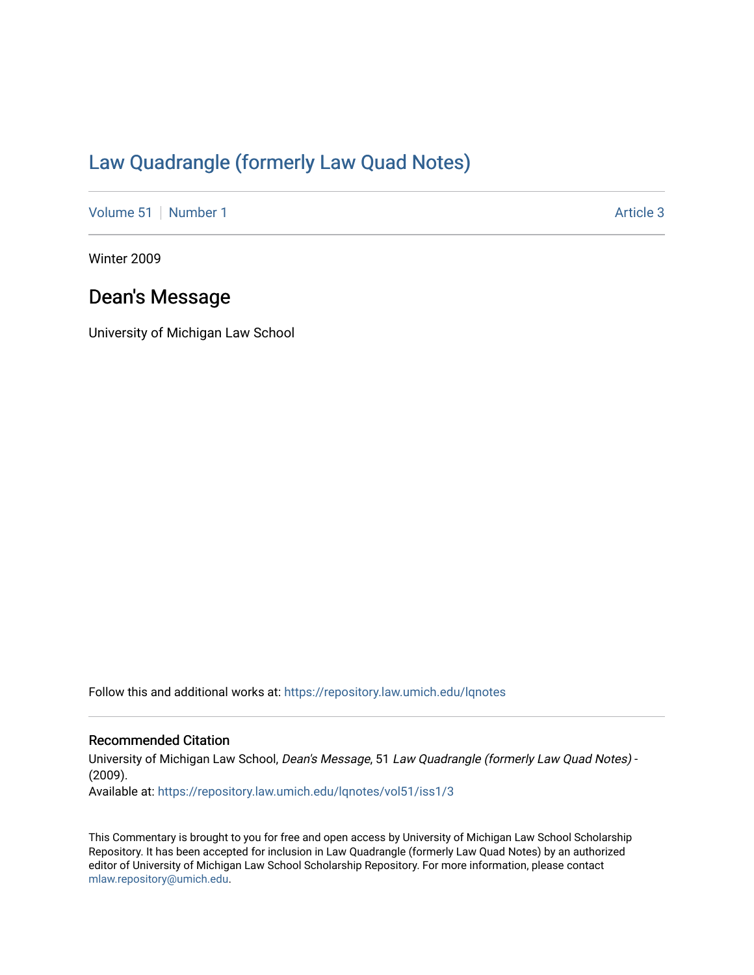## [Law Quadrangle \(formerly Law Quad Notes\)](https://repository.law.umich.edu/lqnotes)

[Volume 51](https://repository.law.umich.edu/lqnotes/vol51) [Number 1](https://repository.law.umich.edu/lqnotes/vol51/iss1) Article 3

Winter 2009

## Dean's Message

University of Michigan Law School

Follow this and additional works at: [https://repository.law.umich.edu/lqnotes](https://repository.law.umich.edu/lqnotes?utm_source=repository.law.umich.edu%2Flqnotes%2Fvol51%2Fiss1%2F3&utm_medium=PDF&utm_campaign=PDFCoverPages) 

## Recommended Citation

University of Michigan Law School, Dean's Message, 51 Law Quadrangle (formerly Law Quad Notes) - (2009). Available at: [https://repository.law.umich.edu/lqnotes/vol51/iss1/3](https://repository.law.umich.edu/lqnotes/vol51/iss1/3?utm_source=repository.law.umich.edu%2Flqnotes%2Fvol51%2Fiss1%2F3&utm_medium=PDF&utm_campaign=PDFCoverPages) 

This Commentary is brought to you for free and open access by University of Michigan Law School Scholarship Repository. It has been accepted for inclusion in Law Quadrangle (formerly Law Quad Notes) by an authorized editor of University of Michigan Law School Scholarship Repository. For more information, please contact [mlaw.repository@umich.edu.](mailto:mlaw.repository@umich.edu)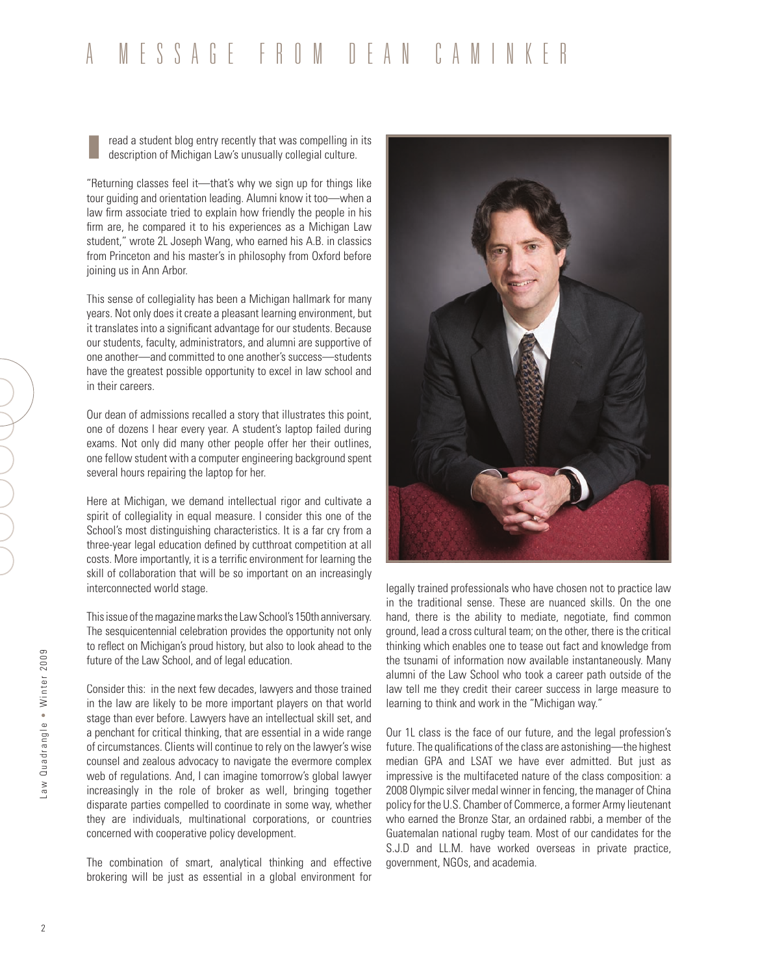## a message from dean caminker

**I read a student blog entry recently that was compelling in its description of Michigan Law's unusually collegial culture.** 

"Returning classes feel it—that's why we sign up for things like tour guiding and orientation leading. Alumni know it too—when a law firm associate tried to explain how friendly the people in his firm are, he compared it to his experiences as a Michigan Law student," wrote 2L Joseph Wang, who earned his A.B. in classics from Princeton and his master's in philosophy from Oxford before joining us in Ann Arbor.

This sense of collegiality has been a Michigan hallmark for many years. Not only does it create a pleasant learning environment, but it translates into a significant advantage for our students. Because our students, faculty, administrators, and alumni are supportive of one another—and committed to one another's success—students have the greatest possible opportunity to excel in law school and in their careers.

Our dean of admissions recalled a story that illustrates this point, one of dozens I hear every year. A student's laptop failed during exams. Not only did many other people offer her their outlines, one fellow student with a computer engineering background spent several hours repairing the laptop for her.

Here at Michigan, we demand intellectual rigor and cultivate a spirit of collegiality in equal measure. I consider this one of the School's most distinguishing characteristics. It is a far cry from a three-year legal education defined by cutthroat competition at all costs. More importantly, it is a terrific environment for learning the skill of collaboration that will be so important on an increasingly interconnected world stage.

This issue of the magazine marks the Law School's 150th anniversary. The sesquicentennial celebration provides the opportunity not only to reflect on Michigan's proud history, but also to look ahead to the future of the Law School, and of legal education.

Consider this: in the next few decades, lawyers and those trained in the law are likely to be more important players on that world stage than ever before. Lawyers have an intellectual skill set, and a penchant for critical thinking, that are essential in a wide range of circumstances. Clients will continue to rely on the lawyer's wise counsel and zealous advocacy to navigate the evermore complex web of regulations. And, I can imagine tomorrow's global lawyer increasingly in the role of broker as well, bringing together disparate parties compelled to coordinate in some way, whether they are individuals, multinational corporations, or countries concerned with cooperative policy development.

The combination of smart, analytical thinking and effective brokering will be just as essential in a global environment for



legally trained professionals who have chosen not to practice law in the traditional sense. These are nuanced skills. On the one hand, there is the ability to mediate, negotiate, find common ground, lead a cross cultural team; on the other, there is the critical thinking which enables one to tease out fact and knowledge from the tsunami of information now available instantaneously. Many alumni of the Law School who took a career path outside of the law tell me they credit their career success in large measure to learning to think and work in the "Michigan way."

Our 1L class is the face of our future, and the legal profession's future. The qualifications of the class are astonishing—the highest median GPA and LSAT we have ever admitted. But just as impressive is the multifaceted nature of the class composition: a 2008 Olympic silver medal winner in fencing, the manager of China policy for the U.S. Chamber of Commerce, a former Army lieutenant who earned the Bronze Star, an ordained rabbi, a member of the Guatemalan national rugby team. Most of our candidates for the S.J.D and LL.M. have worked overseas in private practice, government, NGOs, and academia.